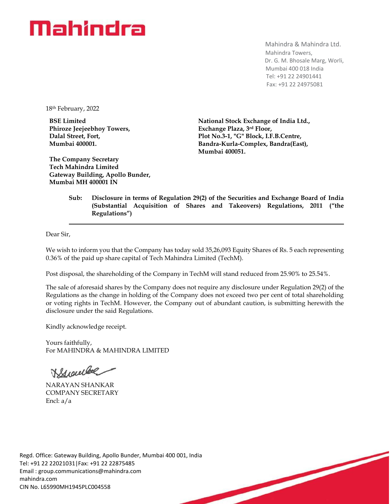## Mahindra

Mahindra & Mahindra Ltd. Mahindra Towers, Dr. G. M. Bhosale Marg, Worli, Mumbai 400 018 India Tel: +91 22 24901441 Fax: +91 22 24975081

18th February, 2022

**BSE Limited Phiroze Jeejeebhoy Towers, Dalal Street, Fort, Mumbai 400001.**

**The Company Secretary Tech Mahindra Limited Gateway Building, Apollo Bunder, Mumbai MH 400001 IN**

**National Stock Exchange of India Ltd., Exchange Plaza, 3rd Floor, Plot No.3-1, "G" Block, I.F.B.Centre, Bandra-Kurla-Complex, Bandra(East), Mumbai 400051.**

## **Sub: Disclosure in terms of Regulation 29(2) of the Securities and Exchange Board of India (Substantial Acquisition of Shares and Takeovers) Regulations, 2011 ("the Regulations")**

Dear Sir,

We wish to inform you that the Company has today sold 35,26,093 Equity Shares of Rs. 5 each representing 0.36% of the paid up share capital of Tech Mahindra Limited (TechM).

Post disposal, the shareholding of the Company in TechM will stand reduced from 25.90% to 25.54%.

The sale of aforesaid shares by the Company does not require any disclosure under Regulation 29(2) of the Regulations as the change in holding of the Company does not exceed two per cent of total shareholding or voting rights in TechM. However, the Company out of abundant caution, is submitting herewith the disclosure under the said Regulations.

Kindly acknowledge receipt.

Yours faithfully, For MAHINDRA & MAHINDRA LIMITED

Branche

NARAYAN SHANKAR COMPANY SECRETARY Encl: a/a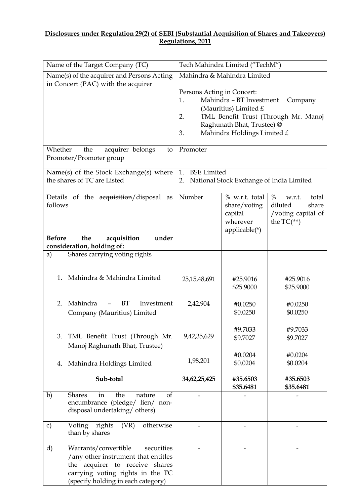## **Disclosures under Regulation 29(2) of SEBI (Substantial Acquisition of Shares and Takeovers) Regulations, 2011**

| Name of the Target Company (TC)                                                                                                                                                             | Tech Mahindra Limited ("TechM")                                                                                                                                                                               |                                                                        |                                                                                   |
|---------------------------------------------------------------------------------------------------------------------------------------------------------------------------------------------|---------------------------------------------------------------------------------------------------------------------------------------------------------------------------------------------------------------|------------------------------------------------------------------------|-----------------------------------------------------------------------------------|
| Name(s) of the acquirer and Persons Acting<br>in Concert (PAC) with the acquirer                                                                                                            | Mahindra & Mahindra Limited<br>Persons Acting in Concert:<br>Mahindra - BT Investment<br>1.<br>Company<br>(Mauritius) Limited $E$<br>TML Benefit Trust (Through Mr. Manoj<br>2.<br>Raghunath Bhat, Trustee) @ |                                                                        |                                                                                   |
|                                                                                                                                                                                             | 3.                                                                                                                                                                                                            | Mahindra Holdings Limited £                                            |                                                                                   |
| Whether<br>acquirer belongs<br>the<br>to<br>Promoter/Promoter group                                                                                                                         | Promoter                                                                                                                                                                                                      |                                                                        |                                                                                   |
| Name(s) of the Stock Exchange(s) where<br>the shares of TC are Listed                                                                                                                       | <b>BSE</b> Limited<br>1.<br>National Stock Exchange of India Limited<br>2.                                                                                                                                    |                                                                        |                                                                                   |
| Details of the acquisition/disposal<br>as<br>follows                                                                                                                                        | Number                                                                                                                                                                                                        | % w.r.t. total<br>share/voting<br>capital<br>wherever<br>applicable(*) | $\%$<br>total<br>w.r.t.<br>diluted<br>share<br>/voting capital of<br>the $TC(**)$ |
| <b>Before</b><br>the<br>acquisition<br>under<br>consideration, holding of:                                                                                                                  |                                                                                                                                                                                                               |                                                                        |                                                                                   |
| Shares carrying voting rights<br>a)                                                                                                                                                         |                                                                                                                                                                                                               |                                                                        |                                                                                   |
| Mahindra & Mahindra Limited<br>1.                                                                                                                                                           | 25,15,48,691                                                                                                                                                                                                  | #25.9016<br>\$25.9000                                                  | #25.9016<br>\$25.9000                                                             |
| Mahindra<br><b>BT</b><br>Investment<br>2.<br>Company (Mauritius) Limited                                                                                                                    | 2,42,904                                                                                                                                                                                                      | #0.0250<br>\$0.0250                                                    | #0.0250<br>\$0.0250                                                               |
| TML Benefit Trust (Through Mr.<br>3.<br>Manoj Raghunath Bhat, Trustee)                                                                                                                      | 9,42,35,629                                                                                                                                                                                                   | #9.7033<br>\$9.7027                                                    | #9.7033<br>\$9.7027                                                               |
| Mahindra Holdings Limited<br>4.                                                                                                                                                             | 1,98,201                                                                                                                                                                                                      | #0.0204<br>\$0.0204                                                    | #0.0204<br>\$0.0204                                                               |
| Sub-total                                                                                                                                                                                   | 34,62,25,425                                                                                                                                                                                                  | #35.6503<br>\$35.6481                                                  | #35.6503<br>\$35.6481                                                             |
| <b>Shares</b><br>in<br>the<br>b)<br>nature<br><sub>of</sub><br>encumbrance (pledge/ lien/ non-<br>disposal undertaking/others)                                                              |                                                                                                                                                                                                               |                                                                        |                                                                                   |
| Voting rights<br>otherwise<br>(VR)<br>c)<br>than by shares                                                                                                                                  |                                                                                                                                                                                                               |                                                                        |                                                                                   |
| d)<br>Warrants/convertible<br>securities<br>/any other instrument that entitles<br>the acquirer to receive shares<br>carrying voting rights in the TC<br>(specify holding in each category) |                                                                                                                                                                                                               |                                                                        |                                                                                   |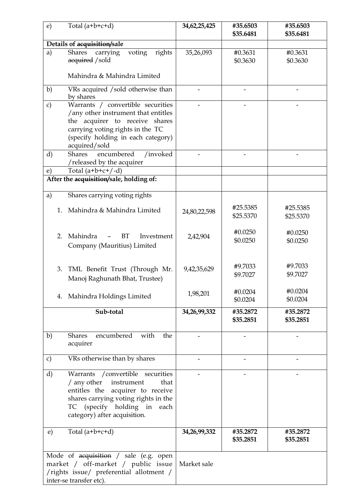| $\epsilon$ )  | Total $(a+b+c+d)$                                                                                                                                                                                                   | 34,62,25,425 | #35.6503<br>\$35.6481 | #35.6503<br>\$35.6481 |
|---------------|---------------------------------------------------------------------------------------------------------------------------------------------------------------------------------------------------------------------|--------------|-----------------------|-----------------------|
|               | Details of acquisition/sale                                                                                                                                                                                         |              |                       |                       |
| a)            | <b>Shares</b><br>rights<br>carrying<br>voting<br>acquired / sold                                                                                                                                                    | 35,26,093    | #0.3631<br>\$0.3630   | #0.3631<br>\$0.3630   |
|               | Mahindra & Mahindra Limited                                                                                                                                                                                         |              |                       |                       |
| b)            | VRs acquired / sold otherwise than<br>by shares                                                                                                                                                                     |              |                       |                       |
| $\mathbf{c})$ | Warrants / convertible securities<br>/any other instrument that entitles<br>the acquirer to receive shares<br>carrying voting rights in the TC<br>(specify holding in each category)<br>acquired/sold               |              |                       |                       |
| d)            | encumbered<br>/invoked<br><b>Shares</b><br>/released by the acquirer                                                                                                                                                |              |                       |                       |
| e)            | Total $(a+b+c+/-d)$                                                                                                                                                                                                 |              |                       |                       |
|               | After the acquisition/sale, holding of:                                                                                                                                                                             |              |                       |                       |
| a)<br>$1_{-}$ | Shares carrying voting rights<br>Mahindra & Mahindra Limited                                                                                                                                                        | 24,80,22,598 | #25.5385<br>\$25.5370 | #25.5385<br>\$25.5370 |
| 2.            | Mahindra<br><b>BT</b><br>Investment<br>Company (Mauritius) Limited                                                                                                                                                  | 2,42,904     | #0.0250<br>\$0.0250   | #0.0250<br>\$0.0250   |
| 3.            | TML Benefit Trust (Through Mr.<br>Manoj Raghunath Bhat, Trustee)                                                                                                                                                    | 9,42,35,629  | #9.7033<br>\$9.7027   | #9.7033<br>\$9.7027   |
| 4.            | Mahindra Holdings Limited                                                                                                                                                                                           | 1,98,201     | #0.0204<br>\$0.0204   | #0.0204<br>\$0.0204   |
|               | Sub-total                                                                                                                                                                                                           | 34,26,99,332 | #35.2872<br>\$35.2851 | #35.2872<br>\$35.2851 |
| b)            | encumbered<br>with<br><b>Shares</b><br>the<br>acquirer                                                                                                                                                              |              |                       |                       |
| $\mathbf{c})$ | VRs otherwise than by shares                                                                                                                                                                                        |              |                       |                       |
| d)            | Warrants / convertible securities<br>$/$ any other<br>instrument<br>that<br>entitles the acquirer to receive<br>shares carrying voting rights in the<br>TC (specify holding in each<br>category) after acquisition. |              |                       |                       |
| e)            | Total $(a+b+c+d)$                                                                                                                                                                                                   | 34,26,99,332 | #35.2872<br>\$35.2851 | #35.2872<br>\$35.2851 |
|               | Mode of acquisition / sale (e.g. open<br>market / off-market / public issue<br>/rights issue/ preferential allotment /<br>inter-se transfer etc).                                                                   | Market sale  |                       |                       |